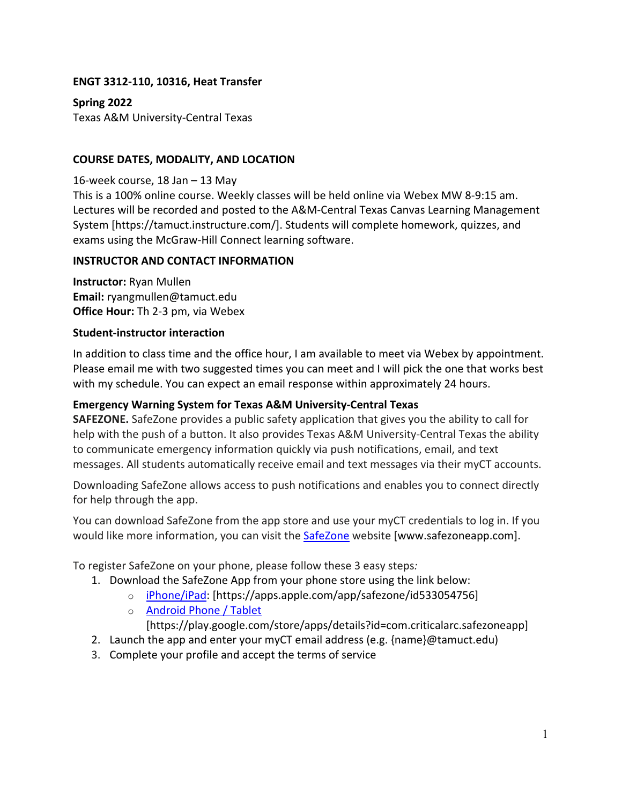### **ENGT 3312-110, 10316, Heat Transfer**

**Spring 2022** Texas A&M University-Central Texas

### **COURSE DATES, MODALITY, AND LOCATION**

16-week course, 18 Jan – 13 May

This is a 100% online course. Weekly classes will be held online via Webex MW 8-9:15 am. Lectures will be recorded and posted to the A&M-Central Texas Canvas Learning Management System [https://tamuct.instructure.com/]. Students will complete homework, quizzes, and exams using the McGraw-Hill Connect learning software.

#### **INSTRUCTOR AND CONTACT INFORMATION**

**Instructor:** Ryan Mullen **Email:** ryangmullen@tamuct.edu **Office Hour:** Th 2-3 pm, via Webex

#### **Student-instructor interaction**

In addition to class time and the office hour, I am available to meet via Webex by appointment. Please email me with two suggested times you can meet and I will pick the one that works best with my schedule. You can expect an email response within approximately 24 hours.

### **Emergency Warning System for Texas A&M University-Central Texas**

**SAFEZONE.** SafeZone provides a public safety application that gives you the ability to call for help with the push of a button. It also provides Texas A&M University-Central Texas the ability to communicate emergency information quickly via push notifications, email, and text messages. All students automatically receive email and text messages via their myCT accounts.

Downloading SafeZone allows access to push notifications and enables you to connect directly for help through the app.

You can download SafeZone from the app store and use your myCT credentials to log in. If you would like more information, you can visit the SafeZone website [www.safezoneapp.com].

To register SafeZone on your phone, please follow these 3 easy steps*:*

- 1. Download the SafeZone App from your phone store using the link below:
	- o iPhone/iPad: [https://apps.apple.com/app/safezone/id533054756]
	- o Android Phone / Tablet

[https://play.google.com/store/apps/details?id=com.criticalarc.safezoneapp]

- 2. Launch the app and enter your myCT email address (e.g. {name}@tamuct.edu)
- 3. Complete your profile and accept the terms of service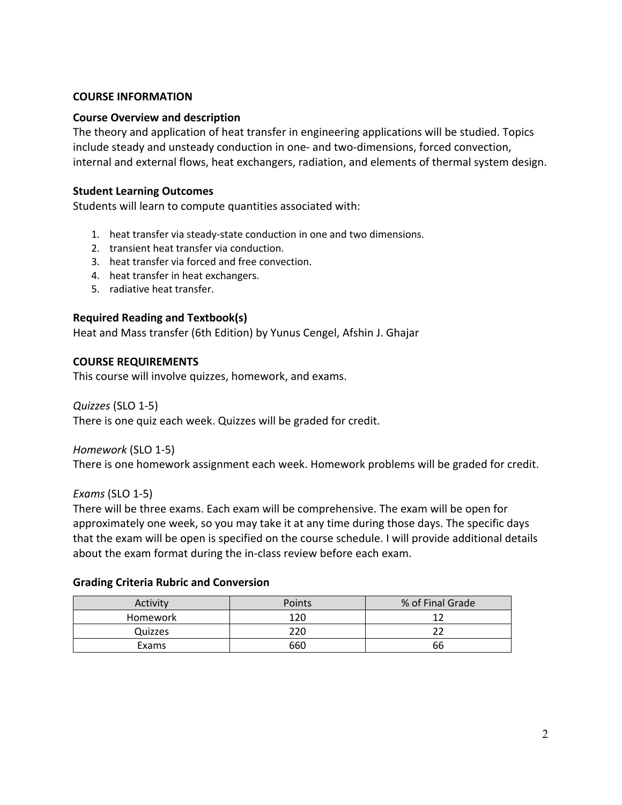#### **COURSE INFORMATION**

#### **Course Overview and description**

The theory and application of heat transfer in engineering applications will be studied. Topics include steady and unsteady conduction in one- and two-dimensions, forced convection, internal and external flows, heat exchangers, radiation, and elements of thermal system design.

#### **Student Learning Outcomes**

Students will learn to compute quantities associated with:

- 1. heat transfer via steady-state conduction in one and two dimensions.
- 2. transient heat transfer via conduction.
- 3. heat transfer via forced and free convection.
- 4. heat transfer in heat exchangers.
- 5. radiative heat transfer.

### **Required Reading and Textbook(s)**

Heat and Mass transfer (6th Edition) by Yunus Cengel, Afshin J. Ghajar

#### **COURSE REQUIREMENTS**

This course will involve quizzes, homework, and exams.

#### *Quizzes* (SLO 1-5)

There is one quiz each week. Quizzes will be graded for credit.

#### *Homework* (SLO 1-5)

There is one homework assignment each week. Homework problems will be graded for credit.

#### *Exams* (SLO 1-5)

There will be three exams. Each exam will be comprehensive. The exam will be open for approximately one week, so you may take it at any time during those days. The specific days that the exam will be open is specified on the course schedule. I will provide additional details about the exam format during the in-class review before each exam.

#### **Grading Criteria Rubric and Conversion**

| Activity        | Points | % of Final Grade |
|-----------------|--------|------------------|
| <b>Homework</b> | 120    |                  |
| Quizzes         | 220    |                  |
| Exams           | 660    | 66               |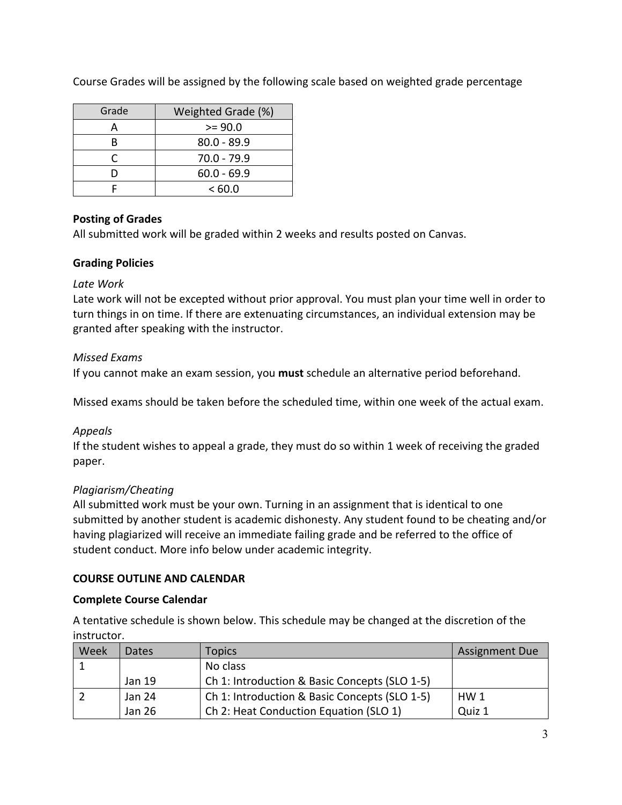Course Grades will be assigned by the following scale based on weighted grade percentage

| Grade | Weighted Grade (%) |  |
|-------|--------------------|--|
| д     | $>= 90.0$          |  |
| R     | $80.0 - 89.9$      |  |
|       | $70.0 - 79.9$      |  |
|       | $60.0 - 69.9$      |  |
|       | <60.0              |  |

# **Posting of Grades**

All submitted work will be graded within 2 weeks and results posted on Canvas.

## **Grading Policies**

### *Late Work*

Late work will not be excepted without prior approval. You must plan your time well in order to turn things in on time. If there are extenuating circumstances, an individual extension may be granted after speaking with the instructor.

## *Missed Exams*

If you cannot make an exam session, you **must** schedule an alternative period beforehand.

Missed exams should be taken before the scheduled time, within one week of the actual exam.

## *Appeals*

If the student wishes to appeal a grade, they must do so within 1 week of receiving the graded paper.

## *Plagiarism/Cheating*

All submitted work must be your own. Turning in an assignment that is identical to one submitted by another student is academic dishonesty. Any student found to be cheating and/or having plagiarized will receive an immediate failing grade and be referred to the office of student conduct. More info below under academic integrity.

## **COURSE OUTLINE AND CALENDAR**

### **Complete Course Calendar**

A tentative schedule is shown below. This schedule may be changed at the discretion of the instructor.

| Week | Dates. | Topics                                        | <b>Assignment Due</b> |
|------|--------|-----------------------------------------------|-----------------------|
|      |        | No class                                      |                       |
|      | Jan 19 | Ch 1: Introduction & Basic Concepts (SLO 1-5) |                       |
|      | Jan 24 | Ch 1: Introduction & Basic Concepts (SLO 1-5) | HW <sub>1</sub>       |
|      | Jan 26 | Ch 2: Heat Conduction Equation (SLO 1)        | Quiz 1                |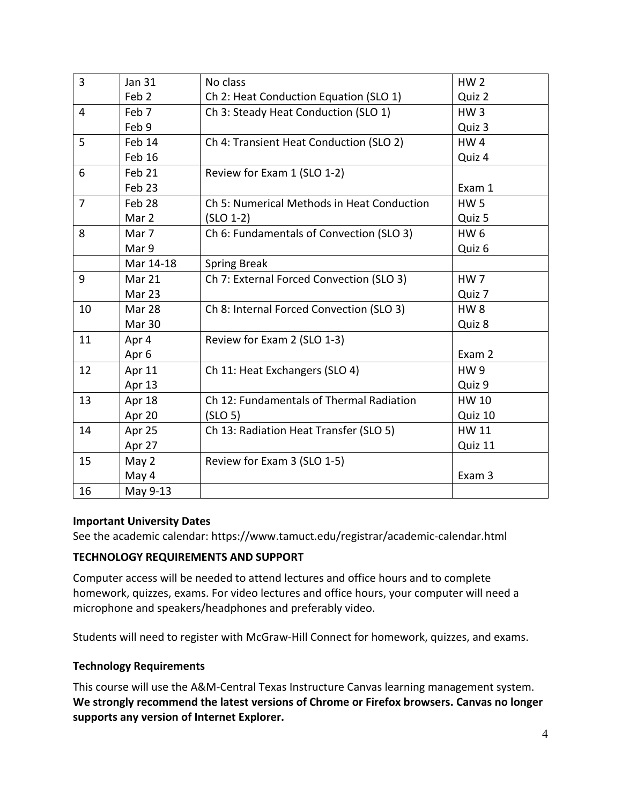| $\overline{3}$ | <b>Jan 31</b>    | No class                                   | HW <sub>2</sub> |
|----------------|------------------|--------------------------------------------|-----------------|
|                | Feb <sub>2</sub> | Ch 2: Heat Conduction Equation (SLO 1)     | Quiz 2          |
| $\overline{4}$ | Feb 7            | Ch 3: Steady Heat Conduction (SLO 1)       | HW <sub>3</sub> |
|                | Feb 9            |                                            | Quiz 3          |
| 5              | Feb 14           | Ch 4: Transient Heat Conduction (SLO 2)    | HW4             |
|                | Feb 16           |                                            | Quiz 4          |
| 6              | Feb 21           | Review for Exam 1 (SLO 1-2)                |                 |
|                | Feb 23           |                                            | Exam 1          |
| $\overline{7}$ | Feb 28           | Ch 5: Numerical Methods in Heat Conduction | <b>HW5</b>      |
|                | Mar 2            | $(SLO 1-2)$                                | Quiz 5          |
| 8              | Mar 7            | Ch 6: Fundamentals of Convection (SLO 3)   | HW <sub>6</sub> |
|                | Mar 9            |                                            | Quiz 6          |
|                | Mar 14-18        | <b>Spring Break</b>                        |                 |
| 9              | Mar 21           | Ch 7: External Forced Convection (SLO 3)   | HW <sub>7</sub> |
|                | Mar 23           |                                            | Quiz 7          |
| 10             | Mar 28           | Ch 8: Internal Forced Convection (SLO 3)   | HW <sub>8</sub> |
|                | Mar 30           |                                            | Quiz 8          |
| 11             | Apr 4            | Review for Exam 2 (SLO 1-3)                |                 |
|                | Apr 6            |                                            | Exam 2          |
| 12             | Apr 11           | Ch 11: Heat Exchangers (SLO 4)             | <b>HW9</b>      |
|                | Apr 13           |                                            | Quiz 9          |
| 13             | Apr 18           | Ch 12: Fundamentals of Thermal Radiation   | HW 10           |
|                | Apr 20           | (SLO 5)                                    | Quiz 10         |
| 14             | Apr 25           | Ch 13: Radiation Heat Transfer (SLO 5)     | HW 11           |
|                | Apr 27           |                                            | Quiz 11         |
| 15             | May 2            | Review for Exam 3 (SLO 1-5)                |                 |
|                | May 4            |                                            | Exam 3          |
| 16             | May 9-13         |                                            |                 |

### **Important University Dates**

See the academic calendar: https://www.tamuct.edu/registrar/academic-calendar.html

### **TECHNOLOGY REQUIREMENTS AND SUPPORT**

Computer access will be needed to attend lectures and office hours and to complete homework, quizzes, exams. For video lectures and office hours, your computer will need a microphone and speakers/headphones and preferably video.

Students will need to register with McGraw-Hill Connect for homework, quizzes, and exams.

### **Technology Requirements**

This course will use the A&M-Central Texas Instructure Canvas learning management system. **We strongly recommend the latest versions of Chrome or Firefox browsers. Canvas no longer supports any version of Internet Explorer.**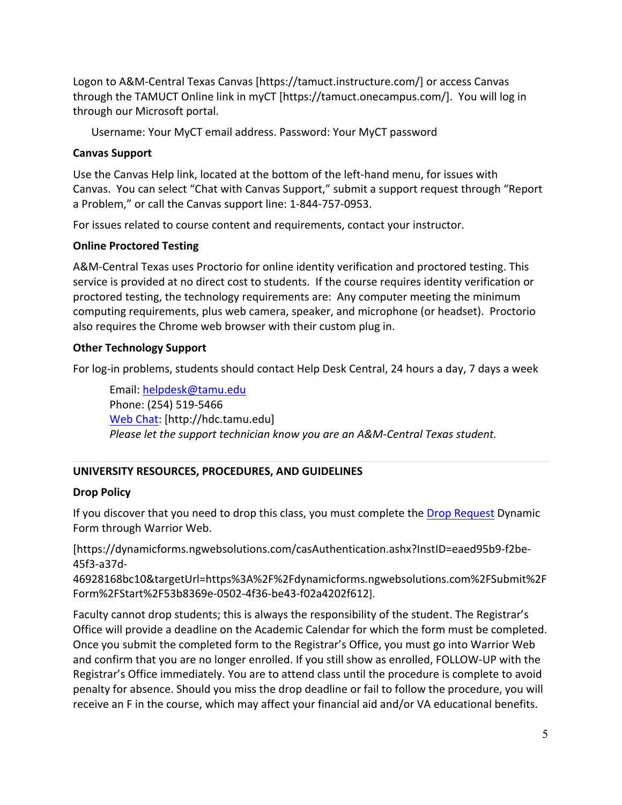Logon to A&M-Central Texas Canvas [https://tamuct.instructure.com/] or access Canvas through the TAMUCT Online link in myCT [https://tamuct.onecampus.com/]. You will log in through our Microsoft portal.

Username: Your MyCT email address. Password: Your MyCT password

## **Canvas Support**

Use the Canvas Help link, located at the bottom of the left-hand menu, for issues with Canvas. You can select "Chat with Canvas Support," submit a support request through "Report a Problem," or call the Canvas support line: 1-844-757-0953.

For issues related to course content and requirements, contact your instructor.

## **Online Proctored Testing**

A&M-Central Texas uses Proctorio for online identity verification and proctored testing. This service is provided at no direct cost to students. If the course requires identity verification or proctored testing, the technology requirements are: Any computer meeting the minimum computing requirements, plus web camera, speaker, and microphone (or headset). Proctorio also requires the Chrome web browser with their custom plug in.

## **Other Technology Support**

For log-in problems, students should contact Help Desk Central, 24 hours a day, 7 days a week

Email: helpdesk@tamu.edu Phone: (254) 519-5466 Web Chat: [http://hdc.tamu.edu] *Please let the support technician know you are an A&M-Central Texas student.*

# **UNIVERSITY RESOURCES, PROCEDURES, AND GUIDELINES**

## **Drop Policy**

If you discover that you need to drop this class, you must complete the Drop Request Dynamic Form through Warrior Web.

[https://dynamicforms.ngwebsolutions.com/casAuthentication.ashx?InstID=eaed95b9-f2be-45f3-a37d-

46928168bc10&targetUrl=https%3A%2F%2Fdynamicforms.ngwebsolutions.com%2FSubmit%2F Form%2FStart%2F53b8369e-0502-4f36-be43-f02a4202f612].

Faculty cannot drop students; this is always the responsibility of the student. The Registrar's Office will provide a deadline on the Academic Calendar for which the form must be completed. Once you submit the completed form to the Registrar's Office, you must go into Warrior Web and confirm that you are no longer enrolled. If you still show as enrolled, FOLLOW-UP with the Registrar's Office immediately. You are to attend class until the procedure is complete to avoid penalty for absence. Should you miss the drop deadline or fail to follow the procedure, you will receive an F in the course, which may affect your financial aid and/or VA educational benefits.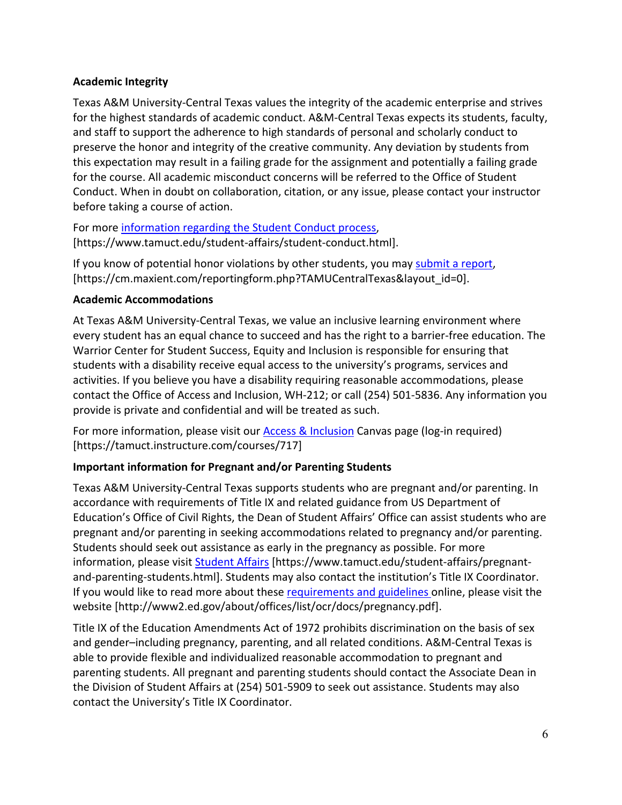## **Academic Integrity**

Texas A&M University-Central Texas values the integrity of the academic enterprise and strives for the highest standards of academic conduct. A&M-Central Texas expects its students, faculty, and staff to support the adherence to high standards of personal and scholarly conduct to preserve the honor and integrity of the creative community. Any deviation by students from this expectation may result in a failing grade for the assignment and potentially a failing grade for the course. All academic misconduct concerns will be referred to the Office of Student Conduct. When in doubt on collaboration, citation, or any issue, please contact your instructor before taking a course of action.

For more information regarding the Student Conduct process, [https://www.tamuct.edu/student-affairs/student-conduct.html].

If you know of potential honor violations by other students, you may submit a report, [https://cm.maxient.com/reportingform.php?TAMUCentralTexas&layout\_id=0].

## **Academic Accommodations**

At Texas A&M University-Central Texas, we value an inclusive learning environment where every student has an equal chance to succeed and has the right to a barrier-free education. The Warrior Center for Student Success, Equity and Inclusion is responsible for ensuring that students with a disability receive equal access to the university's programs, services and activities. If you believe you have a disability requiring reasonable accommodations, please contact the Office of Access and Inclusion, WH-212; or call (254) 501-5836. Any information you provide is private and confidential and will be treated as such.

For more information, please visit our Access & Inclusion Canvas page (log-in required) [https://tamuct.instructure.com/courses/717]

# **Important information for Pregnant and/or Parenting Students**

Texas A&M University-Central Texas supports students who are pregnant and/or parenting. In accordance with requirements of Title IX and related guidance from US Department of Education's Office of Civil Rights, the Dean of Student Affairs' Office can assist students who are pregnant and/or parenting in seeking accommodations related to pregnancy and/or parenting. Students should seek out assistance as early in the pregnancy as possible. For more information, please visit Student Affairs [https://www.tamuct.edu/student-affairs/pregnantand-parenting-students.html]. Students may also contact the institution's Title IX Coordinator. If you would like to read more about these requirements and guidelines online, please visit the website [http://www2.ed.gov/about/offices/list/ocr/docs/pregnancy.pdf].

Title IX of the Education Amendments Act of 1972 prohibits discrimination on the basis of sex and gender–including pregnancy, parenting, and all related conditions. A&M-Central Texas is able to provide flexible and individualized reasonable accommodation to pregnant and parenting students. All pregnant and parenting students should contact the Associate Dean in the Division of Student Affairs at (254) 501-5909 to seek out assistance. Students may also contact the University's Title IX Coordinator.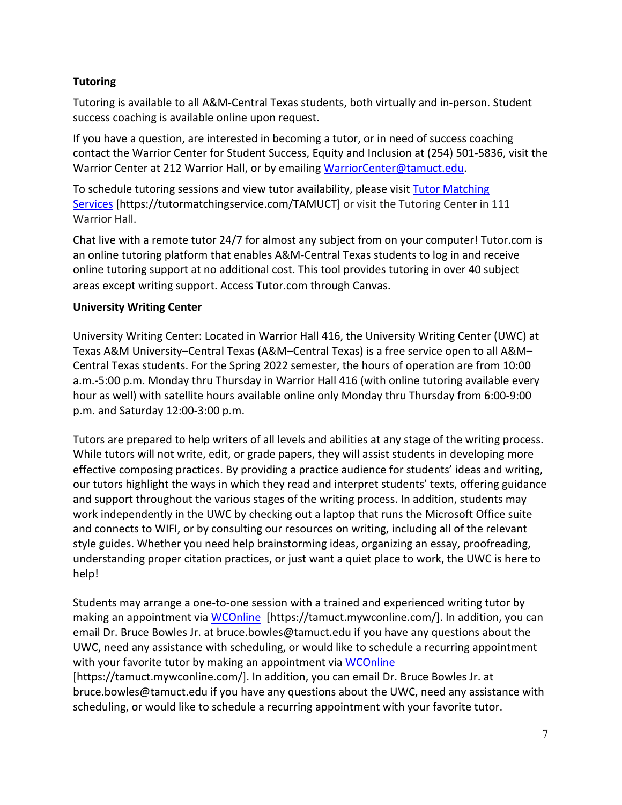# **Tutoring**

Tutoring is available to all A&M-Central Texas students, both virtually and in-person. Student success coaching is available online upon request.

If you have a question, are interested in becoming a tutor, or in need of success coaching contact the Warrior Center for Student Success, Equity and Inclusion at (254) 501-5836, visit the Warrior Center at 212 Warrior Hall, or by emailing WarriorCenter@tamuct.edu.

To schedule tutoring sessions and view tutor availability, please visit Tutor Matching Services [https://tutormatchingservice.com/TAMUCT] or visit the Tutoring Center in 111 Warrior Hall.

Chat live with a remote tutor 24/7 for almost any subject from on your computer! Tutor.com is an online tutoring platform that enables A&M-Central Texas students to log in and receive online tutoring support at no additional cost. This tool provides tutoring in over 40 subject areas except writing support. Access Tutor.com through Canvas.

## **University Writing Center**

University Writing Center: Located in Warrior Hall 416, the University Writing Center (UWC) at Texas A&M University–Central Texas (A&M–Central Texas) is a free service open to all A&M– Central Texas students. For the Spring 2022 semester, the hours of operation are from 10:00 a.m.-5:00 p.m. Monday thru Thursday in Warrior Hall 416 (with online tutoring available every hour as well) with satellite hours available online only Monday thru Thursday from 6:00-9:00 p.m. and Saturday 12:00-3:00 p.m.

Tutors are prepared to help writers of all levels and abilities at any stage of the writing process. While tutors will not write, edit, or grade papers, they will assist students in developing more effective composing practices. By providing a practice audience for students' ideas and writing, our tutors highlight the ways in which they read and interpret students' texts, offering guidance and support throughout the various stages of the writing process. In addition, students may work independently in the UWC by checking out a laptop that runs the Microsoft Office suite and connects to WIFI, or by consulting our resources on writing, including all of the relevant style guides. Whether you need help brainstorming ideas, organizing an essay, proofreading, understanding proper citation practices, or just want a quiet place to work, the UWC is here to help!

Students may arrange a one-to-one session with a trained and experienced writing tutor by making an appointment via WCOnline [https://tamuct.mywconline.com/]. In addition, you can email Dr. Bruce Bowles Jr. at bruce.bowles@tamuct.edu if you have any questions about the UWC, need any assistance with scheduling, or would like to schedule a recurring appointment with your favorite tutor by making an appointment via WCOnline [https://tamuct.mywconline.com/]. In addition, you can email Dr. Bruce Bowles Jr. at bruce.bowles@tamuct.edu if you have any questions about the UWC, need any assistance with

scheduling, or would like to schedule a recurring appointment with your favorite tutor.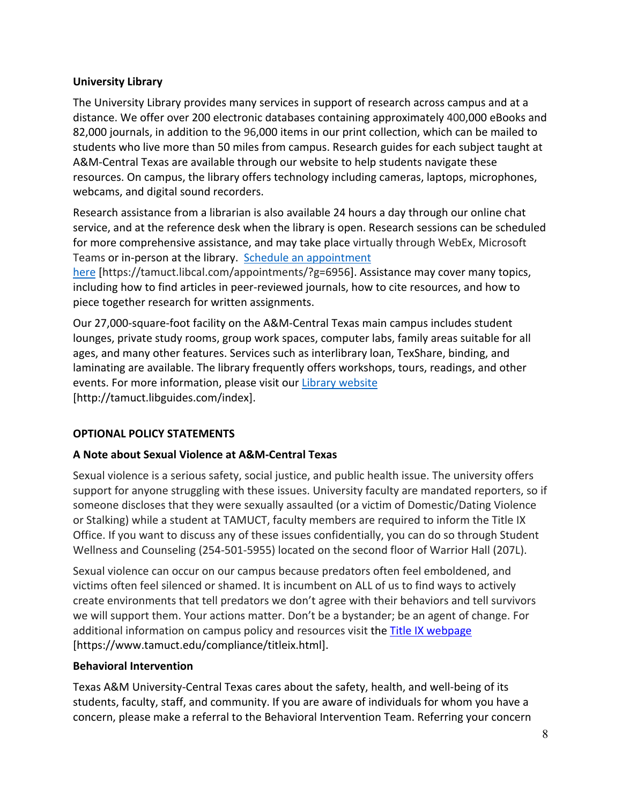### **University Library**

The University Library provides many services in support of research across campus and at a distance. We offer over 200 electronic databases containing approximately 400,000 eBooks and 82,000 journals, in addition to the 96,000 items in our print collection, which can be mailed to students who live more than 50 miles from campus. Research guides for each subject taught at A&M-Central Texas are available through our website to help students navigate these resources. On campus, the library offers technology including cameras, laptops, microphones, webcams, and digital sound recorders.

Research assistance from a librarian is also available 24 hours a day through our online chat service, and at the reference desk when the library is open. Research sessions can be scheduled for more comprehensive assistance, and may take place virtually through WebEx, Microsoft Teams or in-person at the library. Schedule an appointment

here [https://tamuct.libcal.com/appointments/?g=6956]. Assistance may cover many topics, including how to find articles in peer-reviewed journals, how to cite resources, and how to piece together research for written assignments.

Our 27,000-square-foot facility on the A&M-Central Texas main campus includes student lounges, private study rooms, group work spaces, computer labs, family areas suitable for all ages, and many other features. Services such as interlibrary loan, TexShare, binding, and laminating are available. The library frequently offers workshops, tours, readings, and other events. For more information, please visit our Library website [http://tamuct.libguides.com/index].

## **OPTIONAL POLICY STATEMENTS**

## **A Note about Sexual Violence at A&M-Central Texas**

Sexual violence is a serious safety, social justice, and public health issue. The university offers support for anyone struggling with these issues. University faculty are mandated reporters, so if someone discloses that they were sexually assaulted (or a victim of Domestic/Dating Violence or Stalking) while a student at TAMUCT, faculty members are required to inform the Title IX Office. If you want to discuss any of these issues confidentially, you can do so through Student Wellness and Counseling (254-501-5955) located on the second floor of Warrior Hall (207L).

Sexual violence can occur on our campus because predators often feel emboldened, and victims often feel silenced or shamed. It is incumbent on ALL of us to find ways to actively create environments that tell predators we don't agree with their behaviors and tell survivors we will support them. Your actions matter. Don't be a bystander; be an agent of change. For additional information on campus policy and resources visit the Title IX webpage [https://www.tamuct.edu/compliance/titleix.html].

### **Behavioral Intervention**

Texas A&M University-Central Texas cares about the safety, health, and well-being of its students, faculty, staff, and community. If you are aware of individuals for whom you have a concern, please make a referral to the Behavioral Intervention Team. Referring your concern